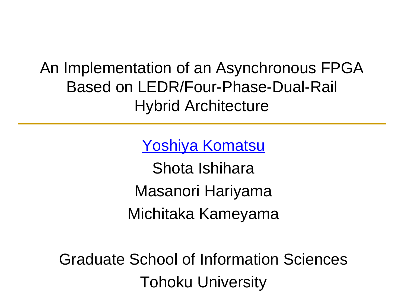An Implementation of an Asynchronous FPGA Based on LEDR/Four-Phase-Dual-Rail Hybrid Architecture

Yoshiya Komatsu

Shota Ishihara Masanori Hariyama Michitaka Kameyama

Graduate School of Information Sciences Tohoku University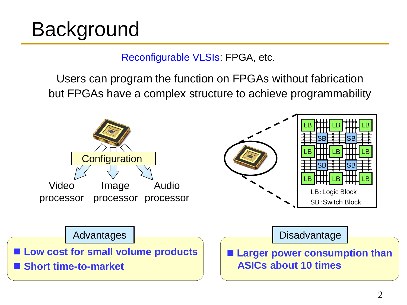# Background

#### Reconfigurable VLSIs: FPGA, etc.

Users can program the function on FPGAs without fabrication but FPGAs have a complex structure to achieve programmability

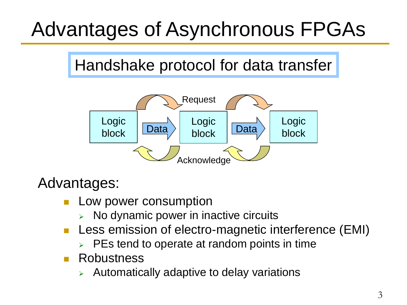# Advantages of Asynchronous FPGAs

## Handshake protocol for data transfer



### Advantages:

- Low power consumption
	- No dynamic power in inactive circuits
- **Less emission of electro-magnetic interference (EMI)** 
	- PEs tend to operate at random points in time
- **Robustness** 
	- Automatically adaptive to delay variations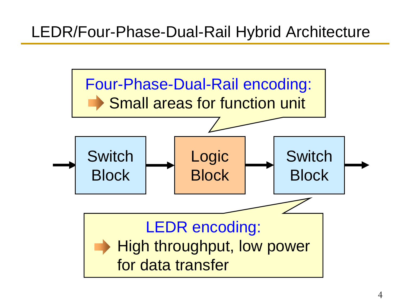## LEDR/Four-Phase-Dual-Rail Hybrid Architecture